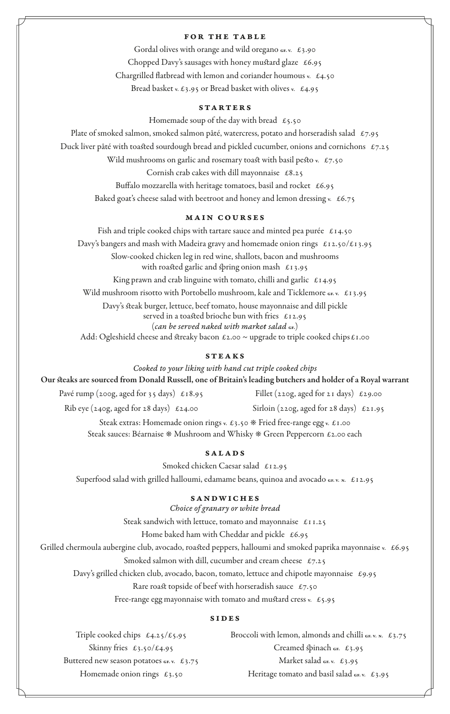#### FOR THE TABLE

Gordal olives with orange and wild oregano GF. v. £3.90 Chopped Davy's sausages with honey mustard glaze  $£6.95$ Chargrilled flatbread with lemon and coriander houmous v.  $£4.50$ Bread basket v.  $\pounds$ 3.95 or Bread basket with olives v.  $\pounds$ 4.95

#### STARTERS

Homemade soup of the day with bread  $\epsilon$ 5.50

Plate of smoked salmon, smoked salmon pâté, watercress, potato and horseradish salad  $\mathcal{L}_{7.95}$ Duck liver pâté with toasted sourdough bread and pickled cucumber, onions and cornichons  $\epsilon$ 7.25 Wild mushrooms on garlic and rosemary toast with basil pesto v.  $\epsilon$ 7.50 Cornish crab cakes with dill mayonnaise £8.25 Buffalo mozzarella with heritage tomatoes, basil and rocket £6.95

Baked goat's cheese salad with beetroot and honey and lemon dressing v.  $£6.75$ 

## main courses

Fish and triple cooked chips with tartare sauce and minted pea purée  $\,\,\pounds$ 14.50 Davy's bangers and mash with Madeira gravy and homemade onion rings  $\pounds$ 12.50/ $\pounds$ 13.95 Slow-cooked chicken leg in red wine, shallots, bacon and mushrooms with roasted garlic and spring onion mash  $\epsilon$ 13.95 King prawn and crab linguine with tomato, chilli and garlic  $£14.95$ Wild mushroom risotto with Portobello mushroom, kale and Ticklemore GF. v. £13.95 Davy's steak burger, lettuce, beef tomato, house mayonnaise and dill pickle served in a toasted brioche bun with fries £12.95 (*can be served naked with market salad* GE.) Add: Ogleshield cheese and streaky bacon  $\epsilon$ 2.00 ~ upgrade to triple cooked chips  $\epsilon$ 1.00

## STEAKS

*Cooked to your liking with hand cut triple cooked chips* Our steaks are sourced from Donald Russell, one of Britain's leading butchers and holder of a Royal warrant Pavé rump (200g, aged for 35 days)  $\epsilon$ 18.95 Fillet (220g, aged for 21 days)  $\epsilon$ 29.00 Rib eye (240g, aged for 28 days)  $\epsilon$ 24.00 Sirloin (220g, aged for 28 days)  $\epsilon$ 21.95

> Steak extras: Homemade onion rings v.  $\pounds$ 3.50 \* Fried free-range egg v.  $\pounds$ 1.00 Steak sauces: Béarnaise  $*$  Mushroom and Whisky  $*$  Green Peppercorn £2.00 each

## SALADS

Smoked chicken Caesar salad £12.95

Superfood salad with grilled halloumi, edamame beans, quinoa and avocado GE. V. N.  $£12.95$ 

## SANDWICHES

*Choice of granary or white bread*

Steak sandwich with lettuce, tomato and mayonnaise  $\pounds$ 11.25

Home baked ham with Cheddar and pickle  $£6.95$ 

Grilled chermoula aubergine club, avocado, roasted peppers, halloumi and smoked paprika mayonnaise v. £6.95

Smoked salmon with dill, cucumber and cream cheese  $\epsilon$ 7.25

Davy's grilled chicken club, avocado, bacon, tomato, lettuce and chipotle mayonnaise £9.95

Rare roast topside of beef with horseradish sauce  $\epsilon$ 7.50

Free-range egg mayonnaise with tomato and mustard cress v.  $£5.95$ 

#### **SIDES**

Triple cooked chips  $\pounds4.25/\pounds5.95$ Skinny fries £3.50/£4.95 Buttered new season potatoes GE. v. £3.75 Homemade onion rings  $\epsilon_3$ .50

Broccoli with lemon, almonds and chilli GF. V. N. £3.75 Creamed spinach GF.  $£3.95$ Market salad GF. v.  $£3.95$ Heritage tomato and basil salad GE. v. £3.95